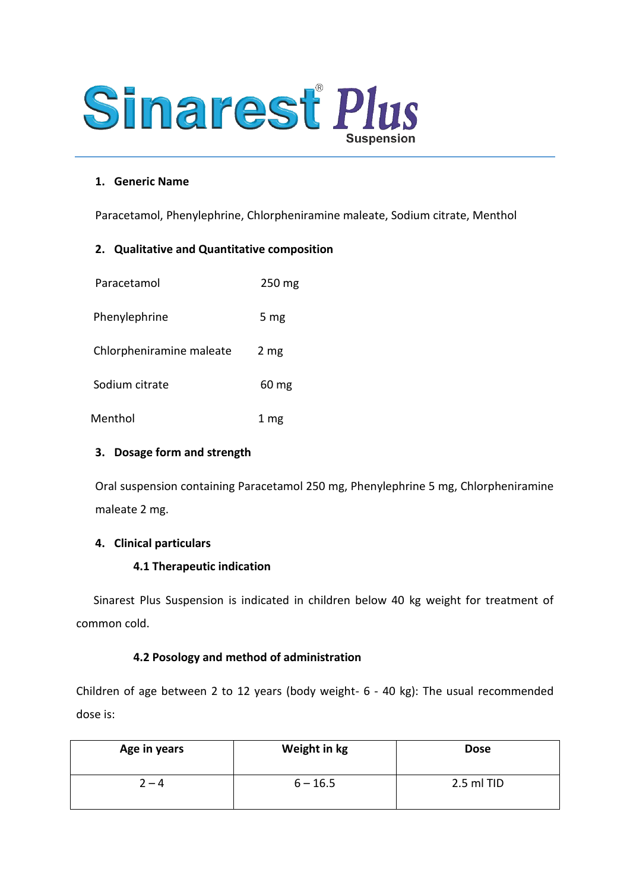

### **1. Generic Name**

Paracetamol, Phenylephrine, Chlorpheniramine maleate, Sodium citrate, Menthol

### **2. Qualitative and Quantitative composition**

| Paracetamol              | 250 mg             |
|--------------------------|--------------------|
| Phenylephrine            | 5 mg               |
| Chlorpheniramine maleate | 2 mg               |
| Sodium citrate           | $60 \,\mathrm{mg}$ |
| Menthol                  | 1 mg               |

### **3. Dosage form and strength**

Oral suspension containing Paracetamol 250 mg, Phenylephrine 5 mg, Chlorpheniramine maleate 2 mg.

### **4. Clinical particulars**

### **4.1 Therapeutic indication**

Sinarest Plus Suspension is indicated in children below 40 kg weight for treatment of common cold.

### **4.2 Posology and method of administration**

Children of age between 2 to 12 years (body weight- 6 - 40 kg): The usual recommended dose is:

| Age in years | Weight in kg | <b>Dose</b> |
|--------------|--------------|-------------|
| $2 - 4$      | $6 - 16.5$   | 2.5 ml TID  |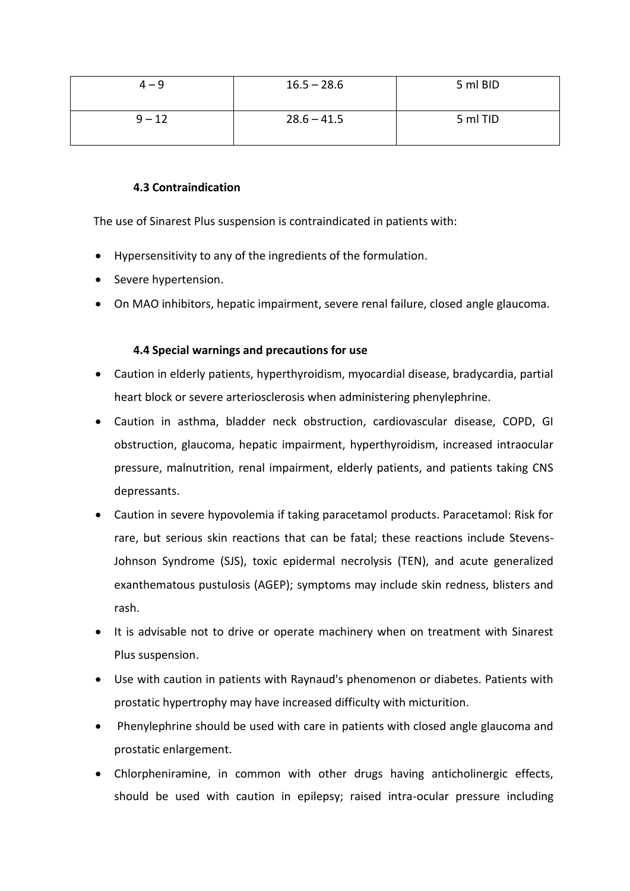| $4 - 9$  | $16.5 - 28.6$ | 5 ml BID |
|----------|---------------|----------|
| $9 - 12$ | $28.6 - 41.5$ | 5 ml TID |

# **4.3 Contraindication**

The use of Sinarest Plus suspension is contraindicated in patients with:

- Hypersensitivity to any of the ingredients of the formulation.
- Severe hypertension.
- On MAO inhibitors, hepatic impairment, severe renal failure, closed angle glaucoma.

## **4.4 Special warnings and precautions for use**

- Caution in elderly patients, hyperthyroidism, myocardial disease, bradycardia, partial heart block or severe arteriosclerosis when administering phenylephrine.
- Caution in asthma, bladder neck obstruction, cardiovascular disease, COPD, GI obstruction, glaucoma, hepatic impairment, hyperthyroidism, increased intraocular pressure, malnutrition, renal impairment, elderly patients, and patients taking CNS depressants.
- Caution in severe hypovolemia if taking paracetamol products. Paracetamol: Risk for rare, but serious skin reactions that can be fatal; these reactions include Stevens-Johnson Syndrome (SJS), toxic epidermal necrolysis (TEN), and acute generalized exanthematous pustulosis (AGEP); symptoms may include skin redness, blisters and rash.
- It is advisable not to drive or operate machinery when on treatment with Sinarest Plus suspension.
- Use with caution in patients with Raynaud's phenomenon or diabetes. Patients with prostatic hypertrophy may have increased difficulty with micturition.
- Phenylephrine should be used with care in patients with closed angle glaucoma and prostatic enlargement.
- Chlorpheniramine, in common with other drugs having anticholinergic effects, should be used with caution in epilepsy; raised intra-ocular pressure including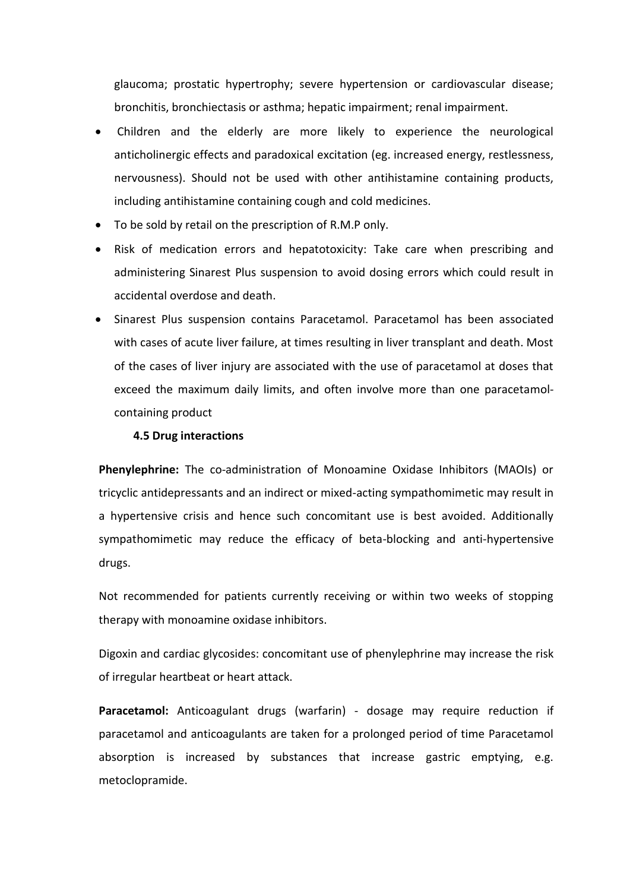glaucoma; prostatic hypertrophy; severe hypertension or cardiovascular disease; bronchitis, bronchiectasis or asthma; hepatic impairment; renal impairment.

- Children and the elderly are more likely to experience the neurological anticholinergic effects and paradoxical excitation (eg. increased energy, restlessness, nervousness). Should not be used with other antihistamine containing products, including antihistamine containing cough and cold medicines.
- To be sold by retail on the prescription of R.M.P only.
- Risk of medication errors and hepatotoxicity: Take care when prescribing and administering Sinarest Plus suspension to avoid dosing errors which could result in accidental overdose and death.
- Sinarest Plus suspension contains Paracetamol. Paracetamol has been associated with cases of acute liver failure, at times resulting in liver transplant and death. Most of the cases of liver injury are associated with the use of paracetamol at doses that exceed the maximum daily limits, and often involve more than one paracetamolcontaining product

### **4.5 Drug interactions**

**Phenylephrine:** The co-administration of Monoamine Oxidase Inhibitors (MAOIs) or tricyclic antidepressants and an indirect or mixed-acting sympathomimetic may result in a hypertensive crisis and hence such concomitant use is best avoided. Additionally sympathomimetic may reduce the efficacy of beta-blocking and anti-hypertensive drugs.

Not recommended for patients currently receiving or within two weeks of stopping therapy with monoamine oxidase inhibitors.

Digoxin and cardiac glycosides: concomitant use of phenylephrine may increase the risk of irregular heartbeat or heart attack.

Paracetamol: Anticoagulant drugs (warfarin) - dosage may require reduction if paracetamol and anticoagulants are taken for a prolonged period of time Paracetamol absorption is increased by substances that increase gastric emptying, e.g. metoclopramide.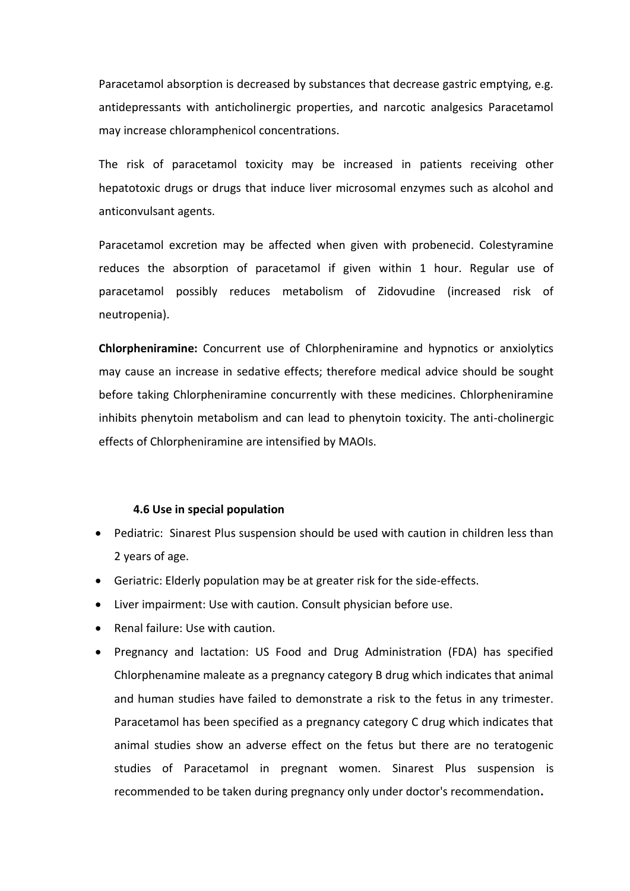Paracetamol absorption is decreased by substances that decrease gastric emptying, e.g. antidepressants with anticholinergic properties, and narcotic analgesics Paracetamol may increase chloramphenicol concentrations.

The risk of paracetamol toxicity may be increased in patients receiving other hepatotoxic drugs or drugs that induce liver microsomal enzymes such as alcohol and anticonvulsant agents.

Paracetamol excretion may be affected when given with probenecid. Colestyramine reduces the absorption of paracetamol if given within 1 hour. Regular use of paracetamol possibly reduces metabolism of Zidovudine (increased risk of neutropenia).

**Chlorpheniramine:** Concurrent use of Chlorpheniramine and hypnotics or anxiolytics may cause an increase in sedative effects; therefore medical advice should be sought before taking Chlorpheniramine concurrently with these medicines. Chlorpheniramine inhibits phenytoin metabolism and can lead to phenytoin toxicity. The anti-cholinergic effects of Chlorpheniramine are intensified by MAOIs.

### **4.6 Use in special population**

- Pediatric: Sinarest Plus suspension should be used with caution in children less than 2 years of age.
- Geriatric: Elderly population may be at greater risk for the side-effects.
- Liver impairment: Use with caution. Consult physician before use.
- Renal failure: Use with caution.
- Pregnancy and lactation: US Food and Drug Administration (FDA) has specified Chlorphenamine maleate as a pregnancy category B drug which indicates that animal and human studies have failed to demonstrate a risk to the fetus in any trimester. Paracetamol has been specified as a pregnancy category C drug which indicates that animal studies show an adverse effect on the fetus but there are no teratogenic studies of Paracetamol in pregnant women. Sinarest Plus suspension is recommended to be taken during pregnancy only under doctor's recommendation**.**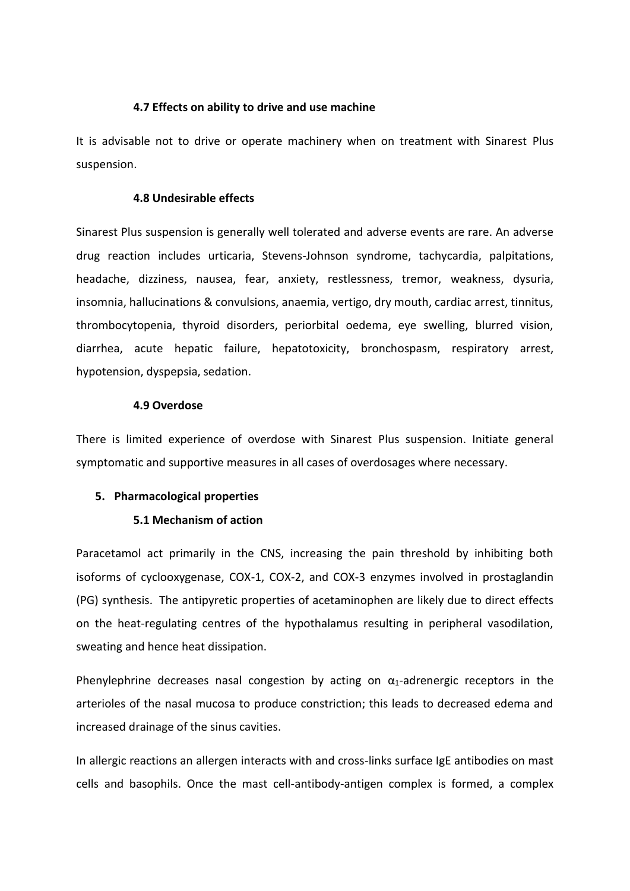### **4.7 Effects on ability to drive and use machine**

It is advisable not to drive or operate machinery when on treatment with Sinarest Plus suspension.

### **4.8 Undesirable effects**

Sinarest Plus suspension is generally well tolerated and adverse events are rare. An adverse drug reaction includes urticaria, Stevens-Johnson syndrome, tachycardia, palpitations, headache, dizziness, nausea, fear, anxiety, restlessness, tremor, weakness, dysuria, insomnia, hallucinations & convulsions, anaemia, vertigo, dry mouth, cardiac arrest, tinnitus, thrombocytopenia, thyroid disorders, periorbital oedema, eye swelling, blurred vision, diarrhea, acute hepatic failure, hepatotoxicity, bronchospasm, respiratory arrest, hypotension, dyspepsia, sedation.

#### **4.9 Overdose**

There is limited experience of overdose with Sinarest Plus suspension. Initiate general symptomatic and supportive measures in all cases of overdosages where necessary.

### **5. Pharmacological properties**

#### **5.1 Mechanism of action**

Paracetamol act primarily in the CNS, increasing the pain threshold by inhibiting both isoforms of cyclooxygenase, COX-1, COX-2, and COX-3 enzymes involved in prostaglandin (PG) synthesis. The antipyretic properties of acetaminophen are likely due to direct effects on the heat-regulating centres of the hypothalamus resulting in peripheral vasodilation, sweating and hence heat dissipation.

Phenylephrine decreases nasal congestion by acting on  $\alpha_1$ -adrenergic receptors in the arterioles of the nasal mucosa to produce constriction; this leads to decreased edema and increased drainage of the sinus cavities.

In allergic reactions an allergen interacts with and cross-links surface IgE antibodies on mast cells and basophils. Once the mast cell-antibody-antigen complex is formed, a complex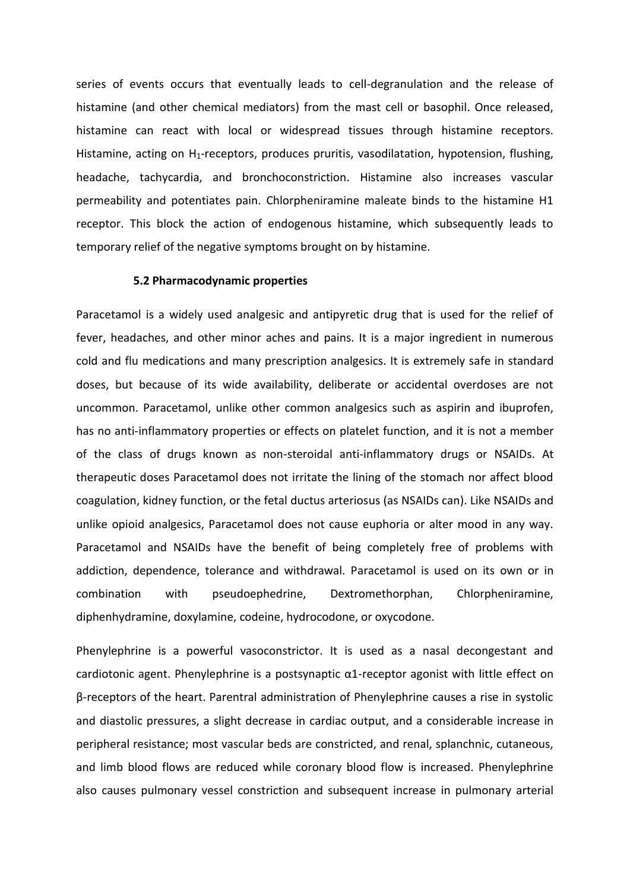series of events occurs that eventually leads to cell-degranulation and the release of histamine (and other chemical mediators) from the mast cell or basophil. Once released, histamine can react with local or widespread tissues through histamine receptors. Histamine, acting on H<sub>1</sub>-receptors, produces pruritis, vasodilatation, hypotension, flushing, headache, tachycardia, and bronchoconstriction. Histamine also increases vascular permeability and potentiates pain. Chlorpheniramine maleate binds to the histamine H1 receptor. This block the action of endogenous histamine, which subsequently leads to temporary relief of the negative symptoms brought on by histamine.

#### **5.2 Pharmacodynamic properties**

Paracetamol is a widely used analgesic and antipyretic drug that is used for the relief of fever, headaches, and other minor aches and pains. It is a major ingredient in numerous cold and flu medications and many prescription analgesics. It is extremely safe in standard doses, but because of its wide availability, deliberate or accidental overdoses are not uncommon. Paracetamol, unlike other common analgesics such as aspirin and ibuprofen, has no anti-inflammatory properties or effects on platelet function, and it is not a member of the class of drugs known as non-steroidal anti-inflammatory drugs or NSAIDs. At therapeutic doses Paracetamol does not irritate the lining of the stomach nor affect blood coagulation, kidney function, or the fetal ductus arteriosus (as NSAIDs can). Like NSAIDs and unlike opioid analgesics, Paracetamol does not cause euphoria or alter mood in any way. Paracetamol and NSAIDs have the benefit of being completely free of problems with addiction, dependence, tolerance and withdrawal. Paracetamol is used on its own or in combination with pseudoephedrine, Dextromethorphan, Chlorpheniramine, diphenhydramine, doxylamine, codeine, hydrocodone, or oxycodone.

Phenylephrine is a powerful vasoconstrictor. It is used as a nasal decongestant and cardiotonic agent. Phenylephrine is a postsynaptic α1-receptor agonist with little effect on β-receptors of the heart. Parentral administration of Phenylephrine causes a rise in systolic and diastolic pressures, a slight decrease in cardiac output, and a considerable increase in peripheral resistance; most vascular beds are constricted, and renal, splanchnic, cutaneous, and limb blood flows are reduced while coronary blood flow is increased. Phenylephrine also causes pulmonary vessel constriction and subsequent increase in pulmonary arterial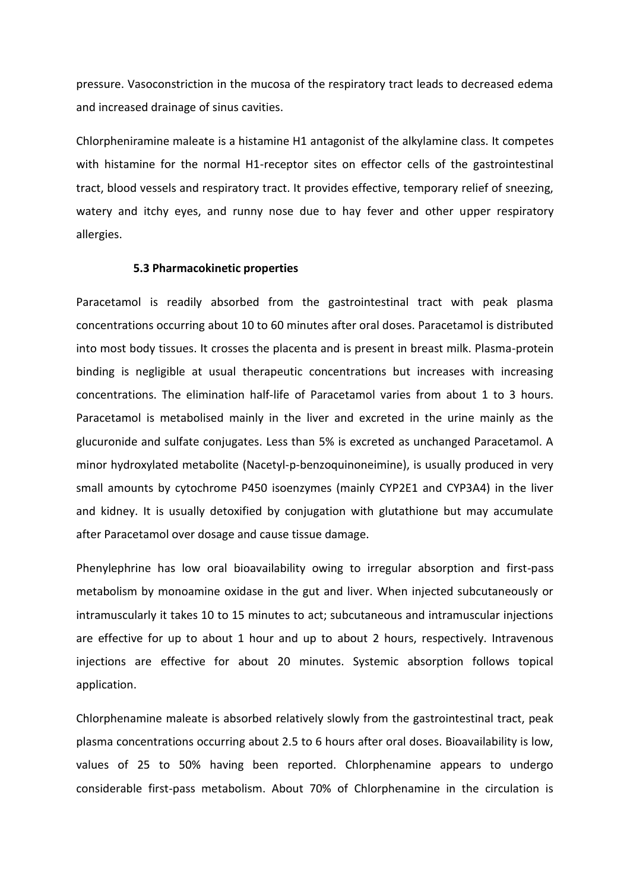pressure. Vasoconstriction in the mucosa of the respiratory tract leads to decreased edema and increased drainage of sinus cavities.

Chlorpheniramine maleate is a histamine H1 antagonist of the alkylamine class. It competes with histamine for the normal H1-receptor sites on effector cells of the gastrointestinal tract, blood vessels and respiratory tract. It provides effective, temporary relief of sneezing, watery and itchy eyes, and runny nose due to hay fever and other upper respiratory allergies.

#### **5.3 Pharmacokinetic properties**

Paracetamol is readily absorbed from the gastrointestinal tract with peak plasma concentrations occurring about 10 to 60 minutes after oral doses. Paracetamol is distributed into most body tissues. It crosses the placenta and is present in breast milk. Plasma-protein binding is negligible at usual therapeutic concentrations but increases with increasing concentrations. The elimination half-life of Paracetamol varies from about 1 to 3 hours. Paracetamol is metabolised mainly in the liver and excreted in the urine mainly as the glucuronide and sulfate conjugates. Less than 5% is excreted as unchanged Paracetamol. A minor hydroxylated metabolite (Nacetyl-p-benzoquinoneimine), is usually produced in very small amounts by cytochrome P450 isoenzymes (mainly CYP2E1 and CYP3A4) in the liver and kidney. It is usually detoxified by conjugation with glutathione but may accumulate after Paracetamol over dosage and cause tissue damage.

Phenylephrine has low oral bioavailability owing to irregular absorption and first-pass metabolism by monoamine oxidase in the gut and liver. When injected subcutaneously or intramuscularly it takes 10 to 15 minutes to act; subcutaneous and intramuscular injections are effective for up to about 1 hour and up to about 2 hours, respectively. Intravenous injections are effective for about 20 minutes. Systemic absorption follows topical application.

Chlorphenamine maleate is absorbed relatively slowly from the gastrointestinal tract, peak plasma concentrations occurring about 2.5 to 6 hours after oral doses. Bioavailability is low, values of 25 to 50% having been reported. Chlorphenamine appears to undergo considerable first-pass metabolism. About 70% of Chlorphenamine in the circulation is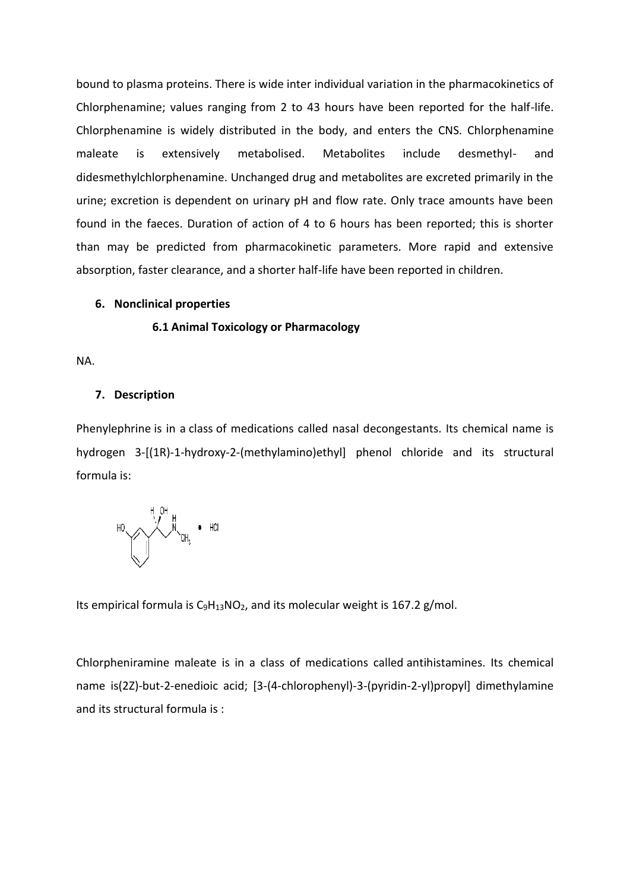bound to plasma proteins. There is wide inter individual variation in the pharmacokinetics of Chlorphenamine; values ranging from 2 to 43 hours have been reported for the half-life. Chlorphenamine is widely distributed in the body, and enters the CNS. Chlorphenamine maleate is extensively metabolised. Metabolites include desmethyl- and didesmethylchlorphenamine. Unchanged drug and metabolites are excreted primarily in the urine; excretion is dependent on urinary pH and flow rate. Only trace amounts have been found in the faeces. Duration of action of 4 to 6 hours has been reported; this is shorter than may be predicted from pharmacokinetic parameters. More rapid and extensive absorption, faster clearance, and a shorter half-life have been reported in children.

### **6. Nonclinical properties**

#### **6.1 Animal Toxicology or Pharmacology**

NA.

#### **7. Description**

Phenylephrine is in a class of medications called nasal decongestants. Its chemical name is hydrogen 3-[(1R)-1-hydroxy-2-(methylamino)ethyl] phenol chloride and its structural formula is:



Its empirical formula is  $C_9H_{13}NO_2$  $C_9H_{13}NO_2$  $C_9H_{13}NO_2$ , and its molecular weight is 167.2 g/mol.

Chlorpheniramine maleate is in a class of medications called antihistamines. Its chemical name is(2Z)-but-2-enedioic acid; [3-(4-chlorophenyl)-3-(pyridin-2-yl)propyl] dimethylamine and its structural formula is :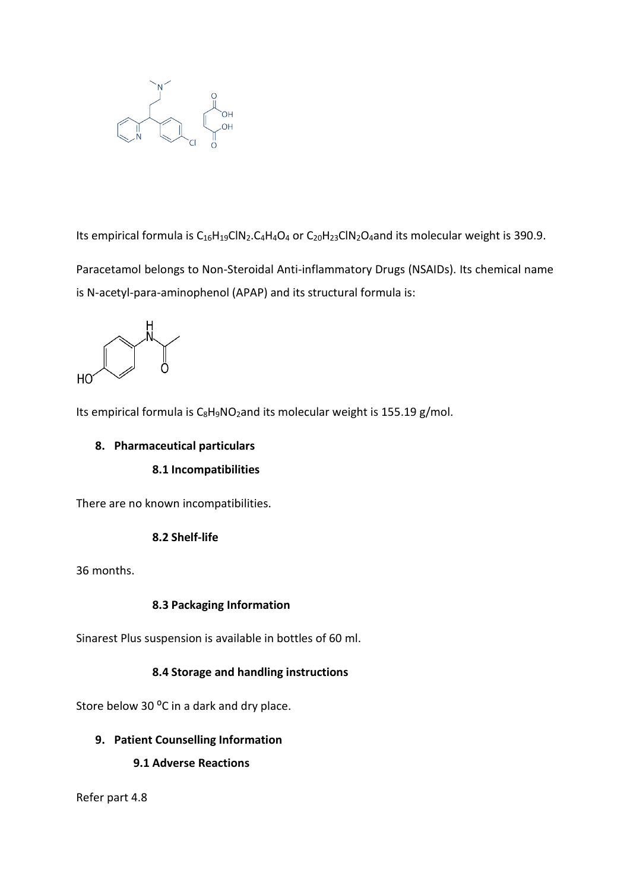

Its empirical formula is  $C_{16}H_{19}CIN_2.C_4H_4O_4$  or  $C_{20}H_{23}CIN_2O_4$  and its molecular weight is 390.9.

Paracetamol belongs to Non-Steroidal Anti-inflammatory Drugs (NSAIDs). Its chemical name is N-acetyl-para-aminophenol (APAP) and its structural formula is:



Its empirical formula is C<sub>8</sub>H<sub>9</sub>[NO](https://pubchem.ncbi.nlm.nih.gov/#query=C8H9NO2)<sub>2</sub>and its molecular weight is 155.19 g/mol.

### **8. Pharmaceutical particulars**

### **8.1 Incompatibilities**

There are no known incompatibilities.

### **8.2 Shelf-life**

36 months.

# **8.3 Packaging Information**

Sinarest Plus suspension is available in bottles of 60 ml.

# **8.4 Storage and handling instructions**

Store below 30 °C in a dark and dry place.

# **9. Patient Counselling Information**

**9.1 Adverse Reactions**

Refer part 4.8